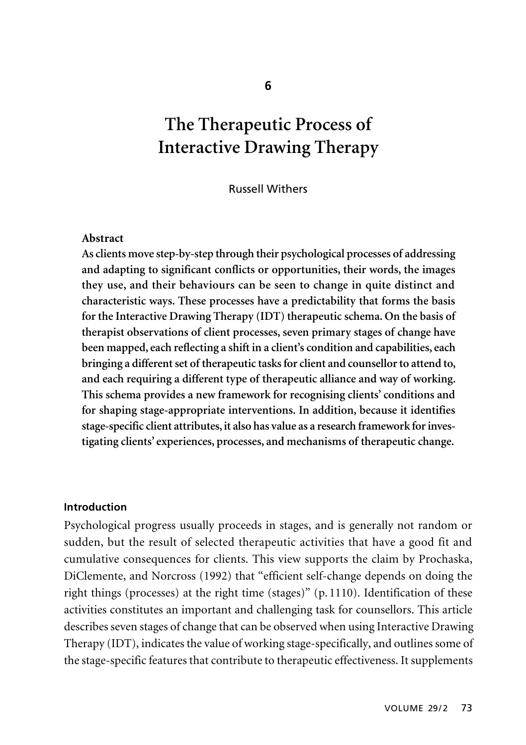# **The Therapeutic Process of Interactive Drawing Therapy**

Russell Withers

#### **Abstract**

**As clients move step-by-step through their psychological processes of addressing and adapting to significant conflicts or opportunities, their words, the images they use, and their behaviours can be seen to change in quite distinct and characteristic ways. These processes have a predictability that forms the basis for the Interactive Drawing Therapy (IDT) therapeutic schema. On the basis of therapist observations of client processes, seven primary stages of change have been mapped, each reflecting a shift in a client's condition and capabilities, each bringing a different set of therapeutic tasks for client and counsellor to attend to, and each requiring a different type of therapeutic alliance and way of working. This schema provides a new framework for recognising clients' conditions and for shaping stage-appropriate interventions. In addition, because it identifies stage-specific client attributes, it also has value as a research framework for investigating clients' experiences, processes, and mechanisms of therapeutic change.** 

#### **Introduction**

Psychological progress usually proceeds in stages, and is generally not random or sudden, but the result of selected therapeutic activities that have a good fit and cumulative consequences for clients. This view supports the claim by Prochaska, DiClemente, and Norcross (1992) that "efficient self-change depends on doing the right things (processes) at the right time (stages)"  $(p.1110)$ . Identification of these activities constitutes an important and challenging task for counsellors. This article describes seven stages of change that can be observed when using Interactive Drawing Therapy (IDT), indicates the value of working stage-specifically, and outlines some of the stage-specific features that contribute to therapeutic effectiveness. It supplements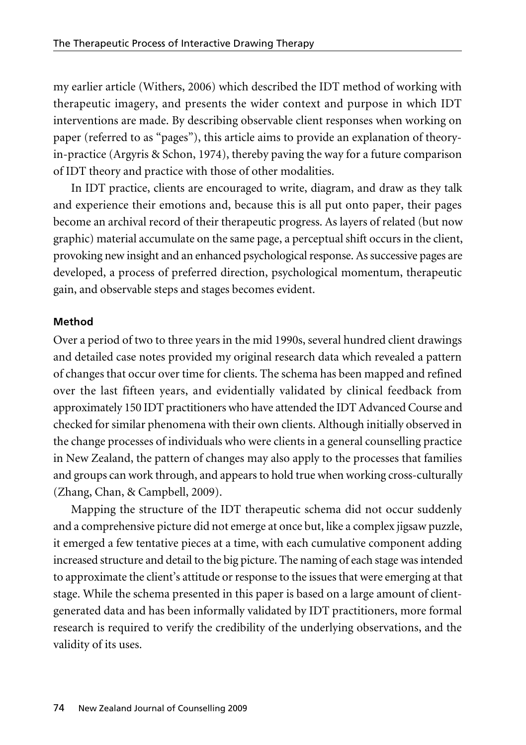my earlier article (Withers, 2006) which described the IDT method of working with therapeutic imagery, and presents the wider context and purpose in which IDT interventions are made. By describing observable client responses when working on paper (referred to as "pages"), this article aims to provide an explanation of theoryin-practice (Argyris & Schon, 1974), thereby paving the way for a future comparison of IDT theory and practice with those of other modalities.

In IDT practice, clients are encouraged to write, diagram, and draw as they talk and experience their emotions and, because this is all put onto paper, their pages become an archival record of their therapeutic progress. As layers of related (but now graphic) material accumulate on the same page, a perceptual shift occurs in the client, provoking new insight and an enhanced psychological response. As successive pages are developed, a process of preferred direction, psychological momentum, therapeutic gain, and observable steps and stages becomes evident.

### **Method**

Over a period of two to three years in the mid 1990s, several hundred client drawings and detailed case notes provided my original research data which revealed a pattern of changes that occur over time for clients. The schema has been mapped and refined over the last fifteen years, and evidentially validated by clinical feedback from approximately 150 IDT practitioners who have attended the IDT Advanced Course and checked for similar phenomena with their own clients. Although initially observed in the change processes of individuals who were clients in a general counselling practice in New Zealand, the pattern of changes may also apply to the processes that families and groups can work through, and appears to hold true when working cross-culturally (Zhang, Chan, & Campbell, 2009).

Mapping the structure of the IDT therapeutic schema did not occur suddenly and a comprehensive picture did not emerge at once but, like a complex jigsaw puzzle, it emerged a few tentative pieces at a time, with each cumulative component adding increased structure and detail to the big picture. The naming of each stage was intended to approximate the client's attitude or response to the issues that were emerging at that stage. While the schema presented in this paper is based on a large amount of clientgenerated data and has been informally validated by IDT practitioners, more formal research is required to verify the credibility of the underlying observations, and the validity of its uses.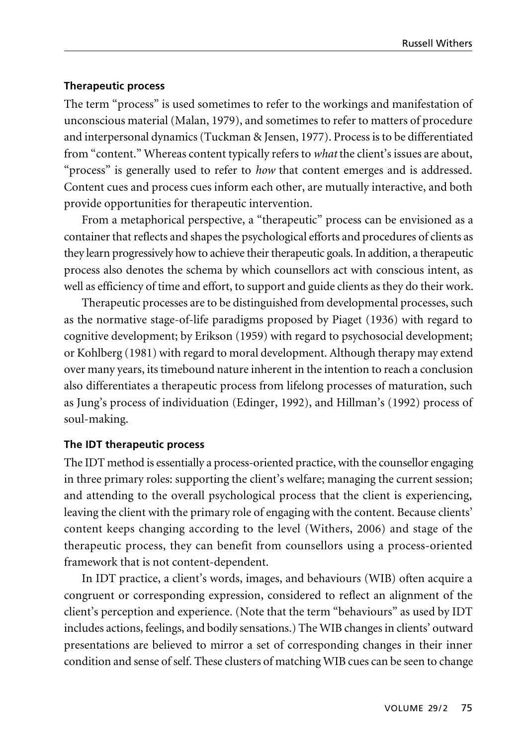#### **Therapeutic process**

The term "process" is used sometimes to refer to the workings and manifestation of unconscious material (Malan, 1979), and sometimes to refer to matters of procedure and interpersonal dynamics (Tuckman & Jensen, 1977). Process is to be differentiated from "content." Whereas content typically refers to *what* the client's issues are about, "process" is generally used to refer to *how* that content emerges and is addressed. Content cues and process cues inform each other, are mutually interactive, and both provide opportunities for therapeutic intervention.

From a metaphorical perspective, a "therapeutic" process can be envisioned as a container that reflects and shapes the psychological efforts and procedures of clients as they learn progressively how to achieve their therapeutic goals. In addition, a therapeutic process also denotes the schema by which counsellors act with conscious intent, as well as efficiency of time and effort, to support and guide clients as they do their work.

Therapeutic processes are to be distinguished from developmental processes, such as the normative stage-of-life paradigms proposed by Piaget (1936) with regard to cognitive development; by Erikson (1959) with regard to psychosocial development; or Kohlberg (1981) with regard to moral development. Although therapy may extend over many years, its timebound nature inherent in the intention to reach a conclusion also differentiates a therapeutic process from lifelong processes of maturation, such as Jung's process of individuation (Edinger, 1992), and Hillman's (1992) process of soul-making.

### **The IDT therapeutic process**

The IDT method is essentially a process-oriented practice, with the counsellor engaging in three primary roles: supporting the client's welfare; managing the current session; and attending to the overall psychological process that the client is experiencing, leaving the client with the primary role of engaging with the content. Because clients' content keeps changing according to the level (Withers, 2006) and stage of the therapeutic process, they can benefit from counsellors using a process-oriented framework that is not content-dependent.

In IDT practice, a client's words, images, and behaviours (WIB) often acquire a congruent or corresponding expression, considered to reflect an alignment of the client's perception and experience. (Note that the term "behaviours" as used by IDT includes actions, feelings, and bodily sensations.) The WIB changes in clients' outward presentations are believed to mirror a set of corresponding changes in their inner condition and sense of self. These clusters of matching WIB cues can be seen to change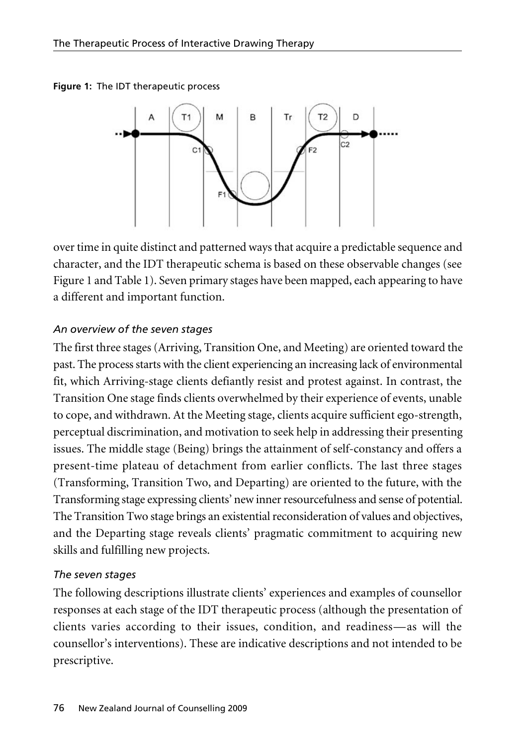**Figure 1:** The IDT therapeutic process



over time in quite distinct and patterned ways that acquire a predictable sequence and character, and the IDT therapeutic schema is based on these observable changes (see Figure 1 and Table 1). Seven primary stages have been mapped, each appearing to have a different and important function.

### *An overview of the seven stages*

The first three stages (Arriving, Transition One, and Meeting) are oriented toward the past. The process starts with the client experiencing an increasing lack of environmental fit, which Arriving-stage clients defiantly resist and protest against. In contrast, the Transition One stage finds clients overwhelmed by their experience of events, unable to cope, and withdrawn. At the Meeting stage, clients acquire sufficient ego-strength, perceptual discrimination, and motivation to seek help in addressing their presenting issues. The middle stage (Being) brings the attainment of self-constancy and offers a present-time plateau of detachment from earlier conflicts. The last three stages (Transforming, Transition Two, and Departing) are oriented to the future, with the Transforming stage expressing clients' new inner resourcefulness and sense of potential. The Transition Two stage brings an existential reconsideration of values and objectives, and the Departing stage reveals clients' pragmatic commitment to acquiring new skills and fulfilling new projects.

### *The seven stages*

The following descriptions illustrate clients' experiences and examples of counsellor responses at each stage of the IDT therapeutic process (although the presentation of clients varies according to their issues, condition, and readiness—as will the counsellor's interventions). These are indicative descriptions and not intended to be prescriptive.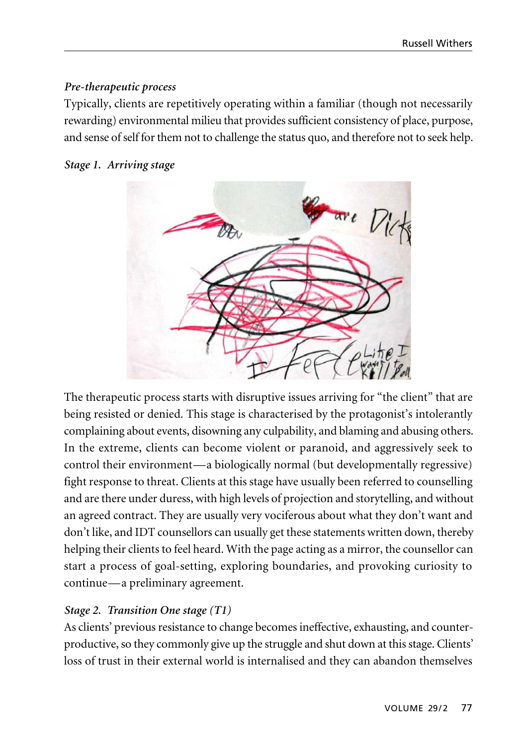### *Pre-therapeutic process*

Typically, clients are repetitively operating within a familiar (though not necessarily rewarding) environmental milieu that provides sufficient consistency of place, purpose, and sense of self for them not to challenge the status quo, and therefore not to seek help.

### *Stage 1. Arriving stage*



The therapeutic process starts with disruptive issues arriving for "the client" that are being resisted or denied. This stage is characterised by the protagonist's intolerantly complaining about events, disowning any culpability, and blaming and abusing others. In the extreme, clients can become violent or paranoid, and aggressively seek to control their environment—a biologically normal (but developmentally regressive) fight response to threat. Clients at this stage have usually been referred to counselling and are there under duress, with high levels of projection and storytelling, and without an agreed contract. They are usually very vociferous about what they don't want and don't like, and IDT counsellors can usually get these statements written down, thereby helping their clients to feel heard. With the page acting as a mirror, the counsellor can start a process of goal-setting, exploring boundaries, and provoking curiosity to continue—a preliminary agreement.

# *Stage 2. Transition One stage (T1)*

As clients' previous resistance to change becomes ineffective, exhausting, and counter productive, so they commonly give up the struggle and shut down at this stage. Clients' loss of trust in their external world is internalised and they can abandon themselves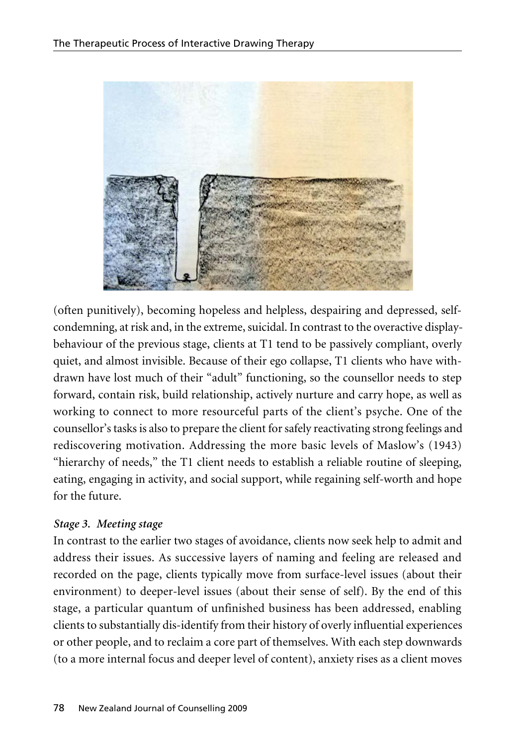

(often punitively), becoming hopeless and helpless, despairing and depressed, selfcondemning, at risk and, in the extreme, suicidal. In contrast to the overactive displaybehaviour of the previous stage, clients at T1 tend to be passively compliant, overly quiet, and almost invisible. Because of their ego collapse, T1 clients who have withdrawn have lost much of their "adult" functioning, so the counsellor needs to step forward, contain risk, build relationship, actively nurture and carry hope, as well as working to connect to more resourceful parts of the client's psyche. One of the counsellor's tasks is also to prepare the client for safely reactivating strong feelings and rediscovering motivation. Addressing the more basic levels of Maslow's (1943) "hierarchy of needs," the T1 client needs to establish a reliable routine of sleeping, eating, engaging in activity, and social support, while regaining self-worth and hope for the future.

# *Stage 3. Meeting stage*

In contrast to the earlier two stages of avoidance, clients now seek help to admit and address their issues. As successive layers of naming and feeling are released and recorded on the page, clients typically move from surface-level issues (about their environment) to deeper-level issues (about their sense of self). By the end of this stage, a particular quantum of unfinished business has been addressed, enabling clients to substantially dis-identify from their history of overly influential experiences or other people, and to reclaim a core part of themselves. With each step downwards (to a more internal focus and deeper level of content), anxiety rises as a client moves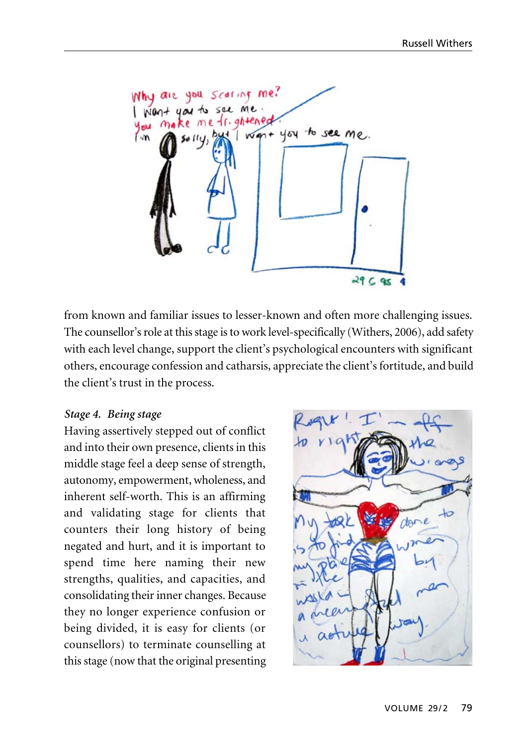Why are you scaring me? me **INTO**  $41.$ ahtened want you to see me. Lm.  $29C95$ 

from known and familiar issues to lesser-known and often more challenging issues. The counsellor's role at this stage is to work level-specifically (Withers, 2006), add safety with each level change, support the client's psychological encounters with significant others, encourage confession and catharsis, appreciate the client's fortitude, and build the client's trust in the process.

#### *Stage 4. Being stage*

Having assertively stepped out of conflict and into their own presence, clients in this middle stage feel a deep sense of strength, autonomy, empowerment, wholeness, and inherent self-worth. This is an affirming and validating stage for clients that counters their long history of being negated and hurt, and it is important to spend time here naming their new strengths, qualities, and capacities, and consolidating their inner changes. Because they no longer experience confusion or being divided, it is easy for clients (or counsellors) to terminate counselling at this stage (now that the original presenting

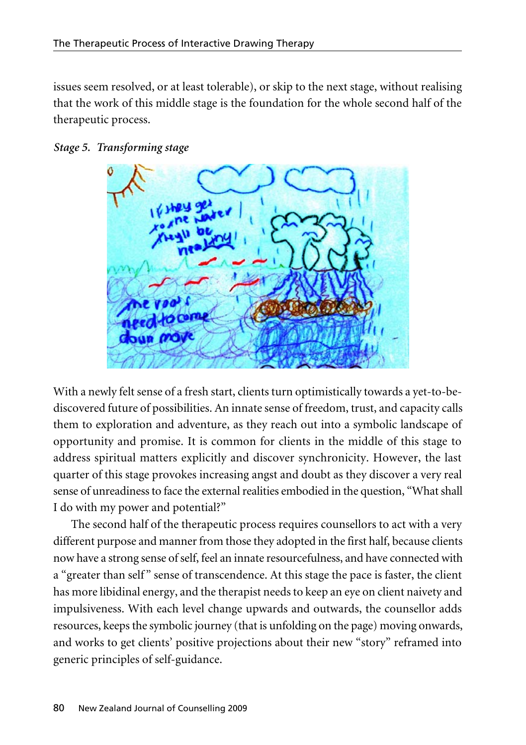issues seem resolved, or at least tolerable), or skip to the next stage, without realising that the work of this middle stage is the foundation for the whole second half of the therapeutic process.





With a newly felt sense of a fresh start, clients turn optimistically towards a yet-to-bediscovered future of possibilities. An innate sense of freedom, trust, and capacity calls them to exploration and adventure, as they reach out into a symbolic landscape of opportunity and promise. It is common for clients in the middle of this stage to address spiritual matters explicitly and discover synchronicity. However, the last quarter of this stage provokes increasing angst and doubt as they discover a very real sense of unreadiness to face the external realities embodied in the question, "What shall I do with my power and potential?"

The second half of the therapeutic process requires counsellors to act with a very different purpose and manner from those they adopted in the first half, because clients now have a strong sense of self, feel an innate resourcefulness, and have connected with a "greater than self" sense of transcendence. At this stage the pace is faster, the client has more libidinal energy, and the therapist needs to keep an eye on client naivety and impulsiveness. With each level change upwards and outwards, the counsellor adds resources, keeps the symbolic journey (that is unfolding on the page) moving onwards, and works to get clients' positive projections about their new "story" reframed into generic principles of self-guidance.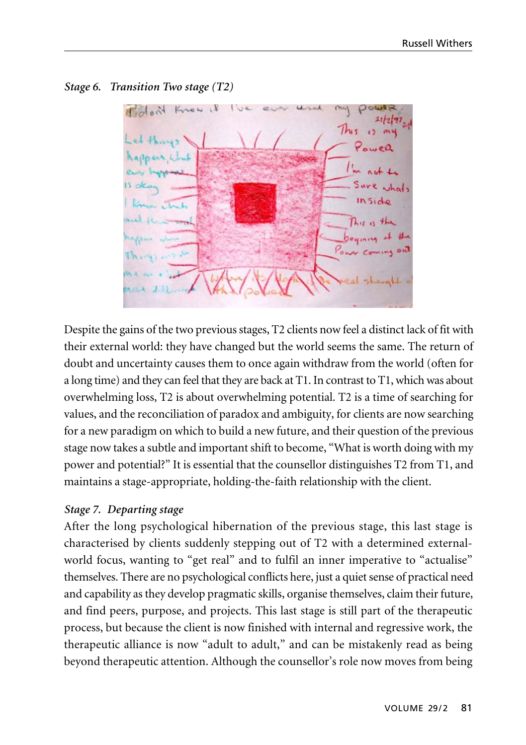

*Stage 6. Transition Two stage (T2)*

Despite the gains of the two previous stages, T2 clients now feel a distinct lack of fit with their external world: they have changed but the world seems the same. The return of doubt and uncertainty causes them to once again withdraw from the world (often for a long time) and they can feel that they are back at T1. In contrast to T1, which was about overwhelming loss, T2 is about overwhelming potential. T2 is a time of searching for values, and the reconciliation of paradox and ambiguity, for clients are now searching for a new paradigm on which to build a new future, and their question of the previous stage now takes a subtle and important shift to become, "What is worth doing with my power and potential?" It is essential that the counsellor distinguishes T2 from T1, and maintains a stage-appropriate, holding-the-faith relationship with the client.

# *Stage 7. Departing stage*

After the long psychological hibernation of the previous stage, this last stage is characterised by clients suddenly stepping out of T2 with a determined externalworld focus, wanting to "get real" and to fulfil an inner imperative to "actualise" themselves. There are no psychological conflicts here, just a quiet sense of practical need and capability as they develop pragmatic skills, organise themselves, claim their future, and find peers, purpose, and projects. This last stage is still part of the therapeutic process, but because the client is now finished with internal and regressive work, the therapeutic alliance is now "adult to adult," and can be mistakenly read as being beyond therapeutic attention. Although the counsellor's role now moves from being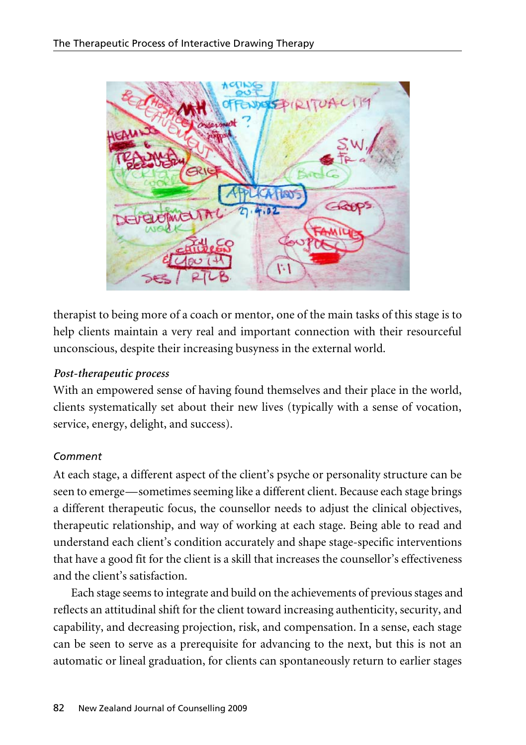

therapist to being more of a coach or mentor, one of the main tasks of this stage is to help clients maintain a very real and important connection with their resourceful unconscious, despite their increasing busyness in the external world.

# *Post-therapeutic process*

With an empowered sense of having found themselves and their place in the world, clients systematically set about their new lives (typically with a sense of vocation, service, energy, delight, and success).

# *Comment*

At each stage, a different aspect of the client's psyche or personality structure can be seen to emerge—sometimes seeming like a different client. Because each stage brings a different therapeutic focus, the counsellor needs to adjust the clinical objectives, therapeutic relationship, and way of working at each stage. Being able to read and understand each client's condition accurately and shape stage-specific interventions that have a good fit for the client is a skill that increases the counsellor's effectiveness and the client's satisfaction.

Each stage seems to integrate and build on the achievements of previous stages and reflects an attitudinal shift for the client toward increasing authenticity, security, and capability, and decreasing projection, risk, and compensation. In a sense, each stage can be seen to serve as a prerequisite for advancing to the next, but this is not an automatic or lineal graduation, for clients can spontaneously return to earlier stages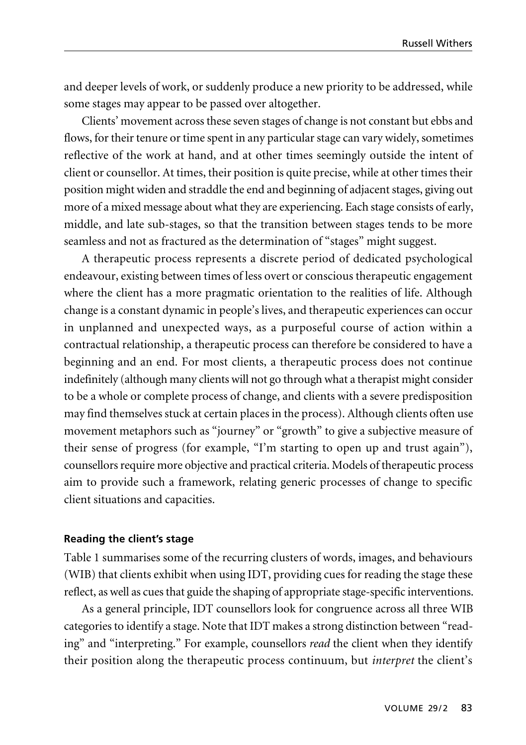and deeper levels of work, or suddenly produce a new priority to be addressed, while some stages may appear to be passed over altogether.

Clients' movement across these seven stages of change is not constant but ebbs and flows, for their tenure or time spent in any particular stage can vary widely, sometimes reflective of the work at hand, and at other times seemingly outside the intent of client or counsellor. At times, their position is quite precise, while at other times their position might widen and straddle the end and beginning of adjacent stages, giving out more of a mixed message about what they are experiencing. Each stage consists of early, middle, and late sub-stages, so that the transition between stages tends to be more seamless and not as fractured as the determination of "stages" might suggest.

A therapeutic process represents a discrete period of dedicated psychological endeavour, existing between times of less overt or conscious therapeutic engagement where the client has a more pragmatic orientation to the realities of life. Although change is a constant dynamic in people's lives, and therapeutic experiences can occur in unplanned and unexpected ways, as a purposeful course of action within a contractual relationship, a therapeutic process can therefore be considered to have a beginning and an end. For most clients, a therapeutic process does not continue indefinitely (although many clients will not go through what a therapist might consider to be a whole or complete process of change, and clients with a severe predisposition may find themselves stuck at certain places in the process). Although clients often use movement metaphors such as "journey" or "growth" to give a subjective measure of their sense of progress (for example, "I'm starting to open up and trust again"), counsellors require more objective and practical criteria. Models of therapeutic process aim to provide such a framework, relating generic processes of change to specific client situations and capacities.

#### **Reading the client's stage**

Table 1 summarises some of the recurring clusters of words, images, and behaviours (WIB) that clients exhibit when using IDT, providing cues for reading the stage these reflect, as well as cues that guide the shaping of appropriate stage-specific interventions.

As a general principle, IDT counsellors look for congruence across all three WIB categories to identify a stage. Note that IDT makes a strong distinction between "reading" and "interpreting." For example, counsellors *read* the client when they identify their position along the therapeutic process continuum, but *interpret* the client's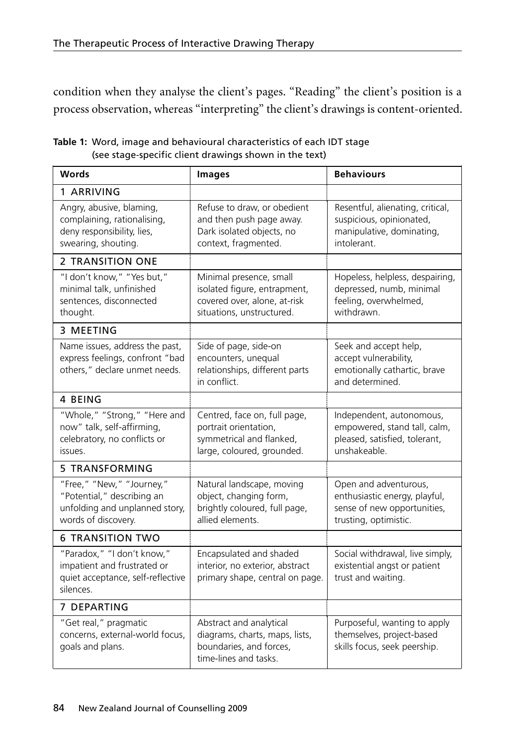condition when they analyse the client's pages. "Reading" the client's position is a process observation, whereas "interpreting" the client's drawings is content-oriented.

| <b>Words</b>                                                                                                     | <b>Images</b>                                                                                                        | <b>Behaviours</b>                                                                                              |
|------------------------------------------------------------------------------------------------------------------|----------------------------------------------------------------------------------------------------------------------|----------------------------------------------------------------------------------------------------------------|
| 1 ARRIVING                                                                                                       |                                                                                                                      |                                                                                                                |
| Angry, abusive, blaming,<br>complaining, rationalising,<br>deny responsibility, lies,<br>swearing, shouting.     | Refuse to draw, or obedient<br>and then push page away.<br>Dark isolated objects, no<br>context, fragmented.         | Resentful, alienating, critical,<br>suspicious, opinionated,<br>manipulative, dominating,<br>intolerant.       |
| 2 TRANSITION ONE                                                                                                 |                                                                                                                      |                                                                                                                |
| "I don't know," "Yes but,"<br>minimal talk, unfinished<br>sentences, disconnected<br>thought.                    | Minimal presence, small<br>isolated figure, entrapment,<br>covered over, alone, at-risk<br>situations, unstructured. | Hopeless, helpless, despairing,<br>depressed, numb, minimal<br>feeling, overwhelmed,<br>withdrawn.             |
| 3 MEETING                                                                                                        |                                                                                                                      |                                                                                                                |
| Name issues, address the past,<br>express feelings, confront "bad<br>others," declare unmet needs.               | Side of page, side-on<br>encounters, unequal<br>relationships, different parts<br>in conflict.                       | Seek and accept help,<br>accept vulnerability,<br>emotionally cathartic, brave<br>and determined.              |
| 4 BEING                                                                                                          |                                                                                                                      |                                                                                                                |
| "Whole," "Strong," "Here and<br>now" talk, self-affirming,<br>celebratory, no conflicts or<br>issues.            | Centred, face on, full page,<br>portrait orientation,<br>symmetrical and flanked,<br>large, coloured, grounded.      | Independent, autonomous,<br>empowered, stand tall, calm,<br>pleased, satisfied, tolerant,<br>unshakeable.      |
| <b>5 TRANSFORMING</b>                                                                                            |                                                                                                                      |                                                                                                                |
| "Free," "New," "Journey,"<br>"Potential," describing an<br>unfolding and unplanned story,<br>words of discovery. | Natural landscape, moving<br>object, changing form,<br>brightly coloured, full page,<br>allied elements.             | Open and adventurous,<br>enthusiastic energy, playful,<br>sense of new opportunities,<br>trusting, optimistic. |
| <b>6 TRANSITION TWO</b>                                                                                          |                                                                                                                      |                                                                                                                |
| "Paradox," "I don't know,"<br>impatient and frustrated or<br>quiet acceptance, self-reflective<br>silences.      | Encapsulated and shaded<br>interior, no exterior, abstract<br>primary shape, central on page.                        | Social withdrawal, live simply,<br>existential angst or patient<br>trust and waiting.                          |
| 7 DEPARTING                                                                                                      |                                                                                                                      |                                                                                                                |
| "Get real," pragmatic<br>concerns, external-world focus,<br>goals and plans.                                     | Abstract and analytical<br>diagrams, charts, maps, lists,<br>boundaries, and forces,<br>time-lines and tasks.        | Purposeful, wanting to apply<br>themselves, project-based<br>skills focus, seek peership.                      |

**Table 1:** Word, image and behavioural characteristics of each IDT stage (see stage-specific client drawings shown in the text)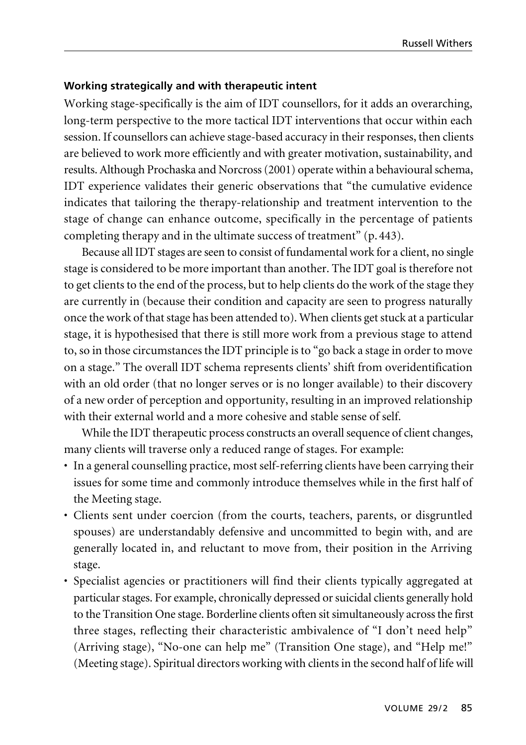#### **Working strategically and with therapeutic intent**

Working stage-specifically is the aim of IDT counsellors, for it adds an overarching, long-term perspective to the more tactical IDT interventions that occur within each session. If counsellors can achieve stage-based accuracy in their responses, then clients are believed to work more efficiently and with greater motivation, sustainability, and results. Although Prochaska and Norcross (2001) operate within a behavioural schema, IDT experience validates their generic observations that "the cumulative evidence indicates that tailoring the therapy-relationship and treatment intervention to the stage of change can enhance outcome, specifically in the percentage of patients completing therapy and in the ultimate success of treatment" (p. 443).

Because all IDT stages are seen to consist of fundamental work for a client, no single stage is considered to be more important than another. The IDT goal is therefore not to get clients to the end of the process, but to help clients do the work of the stage they are currently in (because their condition and capacity are seen to progress naturally once the work of that stage has been attended to). When clients get stuck at a particular stage, it is hypothesised that there is still more work from a previous stage to attend to, so in those circumstances the IDT principle is to "go back a stage in order to move on a stage." The overall IDT schema represents clients' shift from overidentification with an old order (that no longer serves or is no longer available) to their discovery of a new order of perception and opportunity, resulting in an improved relationship with their external world and a more cohesive and stable sense of self.

While the IDT therapeutic process constructs an overall sequence of client changes, many clients will traverse only a reduced range of stages. For example:

- In a general counselling practice, most self-referring clients have been carrying their issues for some time and commonly introduce themselves while in the first half of the Meeting stage.
- Clients sent under coercion (from the courts, teachers, parents, or disgruntled spouses) are understandably defensive and uncommitted to begin with, and are generally located in, and reluctant to move from, their position in the Arriving stage.
- Specialist agencies or practitioners will find their clients typically aggregated at particular stages. For example, chronically depressed or suicidal clients generally hold to the Transition One stage. Borderline clients often sit simultaneously across the first three stages, reflecting their characteristic ambivalence of "I don't need help" (Arriving stage), "No-one can help me" (Transition One stage), and "Help me!" (Meeting stage). Spiritual directors working with clients in the second half of life will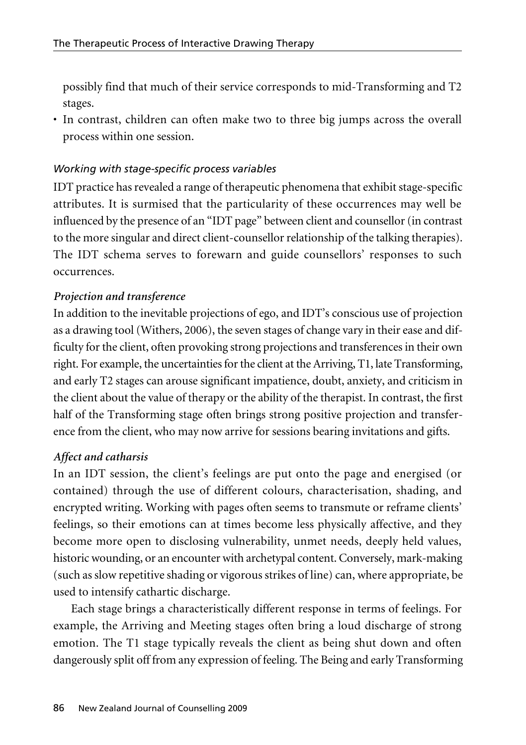possibly find that much of their service corresponds to mid-Transforming and T2 stages.

• In contrast, children can often make two to three big jumps across the overall process within one session.

# *Working with stage-specific process variables*

IDT practice has revealed a range of therapeutic phenomena that exhibit stage-specific attributes. It is surmised that the particularity of these occurrences may well be influenced by the presence of an "IDT page" between client and counsellor (in contrast to the more singular and direct client-counsellor relationship of the talking therapies). The IDT schema serves to forewarn and guide counsellors' responses to such occurrences.

# *Projection and transference*

In addition to the inevitable projections of ego, and IDT's conscious use of projection as a drawing tool (Withers, 2006), the seven stages of change vary in their ease and difficulty for the client, often provoking strong projections and transferences in their own right. For example, the uncertainties for the client at the Arriving, T1, late Transforming, and early T2 stages can arouse significant impatience, doubt, anxiety, and criticism in the client about the value of therapy or the ability of the therapist. In contrast, the first half of the Transforming stage often brings strong positive projection and transference from the client, who may now arrive for sessions bearing invitations and gifts.

# *Affect and catharsis*

In an IDT session, the client's feelings are put onto the page and energised (or contained) through the use of different colours, characterisation, shading, and encrypted writing. Working with pages often seems to transmute or reframe clients' feelings, so their emotions can at times become less physically affective, and they become more open to disclosing vulnerability, unmet needs, deeply held values, historic wounding, or an encounter with archetypal content. Conversely, mark-making (such as slow repetitive shading or vigorous strikes of line) can, where appropriate, be used to intensify cathartic discharge.

Each stage brings a characteristically different response in terms of feelings. For example, the Arriving and Meeting stages often bring a loud discharge of strong emotion. The T1 stage typically reveals the client as being shut down and often dangerously split off from any expression of feeling. The Being and early Transforming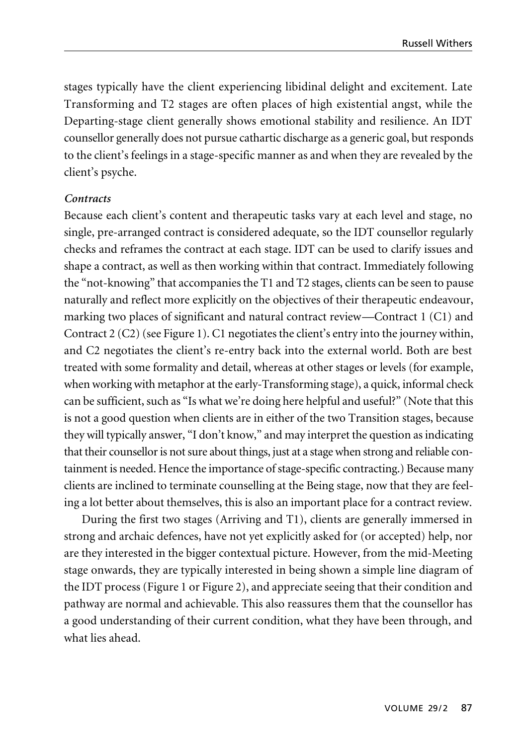stages typically have the client experiencing libidinal delight and excitement. Late Transforming and T2 stages are often places of high existential angst, while the Departing-stage client generally shows emotional stability and resilience. An IDT counsellor generally does not pursue cathartic discharge as a generic goal, but responds to the client's feelings in a stage-specific manner as and when they are revealed by the client's psyche.

#### *Contracts*

Because each client's content and therapeutic tasks vary at each level and stage, no single, pre-arranged contract is considered adequate, so the IDT counsellor regularly checks and reframes the contract at each stage. IDT can be used to clarify issues and shape a contract, as well as then working within that contract. Immediately following the "not-knowing" that accompanies the T1 and T2 stages, clients can be seen to pause naturally and reflect more explicitly on the objectives of their therapeutic endeavour, marking two places of significant and natural contract review—Contract 1 (C1) and Contract 2 (C2) (see Figure 1). C1 negotiates the client's entry into the journey within, and C2 negotiates the client's re-entry back into the external world. Both are best treated with some formality and detail, whereas at other stages or levels (for example, when working with metaphor at the early-Transforming stage), a quick, informal check can be sufficient, such as "Is what we're doing here helpful and useful?" (Note that this is not a good question when clients are in either of the two Transition stages, because they will typically answer, "I don't know," and may interpret the question as indicating that their counsellor is not sure about things, just at a stage when strong and reliable containment is needed. Hence the importance of stage-specific contracting.) Because many clients are inclined to terminate counselling at the Being stage, now that they are feeling a lot better about themselves, this is also an important place for a contract review.

During the first two stages (Arriving and T1), clients are generally immersed in strong and archaic defences, have not yet explicitly asked for (or accepted) help, nor are they interested in the bigger contextual picture. However, from the mid-Meeting stage onwards, they are typically interested in being shown a simple line diagram of the IDT process (Figure 1 or Figure 2), and appreciate seeing that their condition and pathway are normal and achievable. This also reassures them that the counsellor has a good understanding of their current condition, what they have been through, and what lies ahead.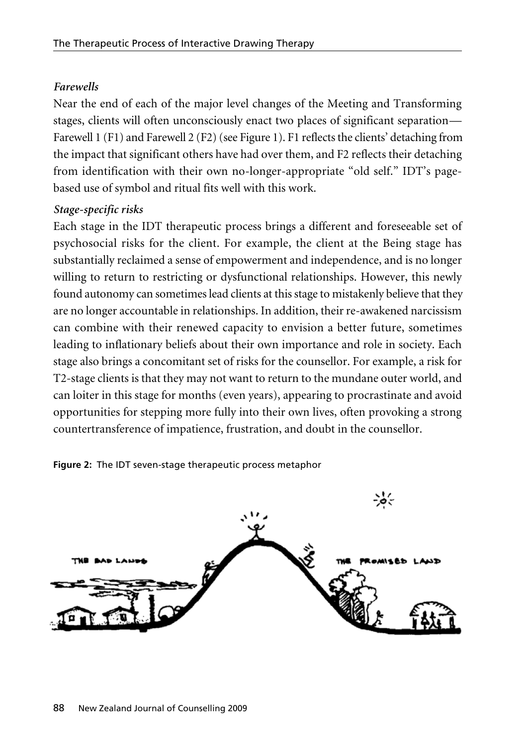### *Farewells*

Near the end of each of the major level changes of the Meeting and Transforming stages, clients will often unconsciously enact two places of significant separation— Farewell 1 (F1) and Farewell 2 (F2) (see Figure 1). F1 reflects the clients' detaching from the impact that significant others have had over them, and F2 reflects their detaching from identification with their own no-longer-appropriate "old self." IDT's pagebased use of symbol and ritual fits well with this work.

### *Stage-specific risks*

Each stage in the IDT therapeutic process brings a different and foreseeable set of psychosocial risks for the client. For example, the client at the Being stage has substantially reclaimed a sense of empowerment and independence, and is no longer willing to return to restricting or dysfunctional relationships. However, this newly found autonomy can sometimes lead clients at this stage to mistakenly believe that they are no longer accountable in relationships. In addition, their re-awakened narcissism can combine with their renewed capacity to envision a better future, sometimes leading to inflationary beliefs about their own importance and role in society. Each stage also brings a concomitant set of risks for the counsellor. For example, a risk for T2-stage clients is that they may not want to return to the mundane outer world, and can loiter in this stage for months (even years), appearing to procrastinate and avoid opportunities for stepping more fully into their own lives, often provoking a strong countertransference of impatience, frustration, and doubt in the counsellor.

**Figure 2:** The IDT seven-stage therapeutic process metaphor

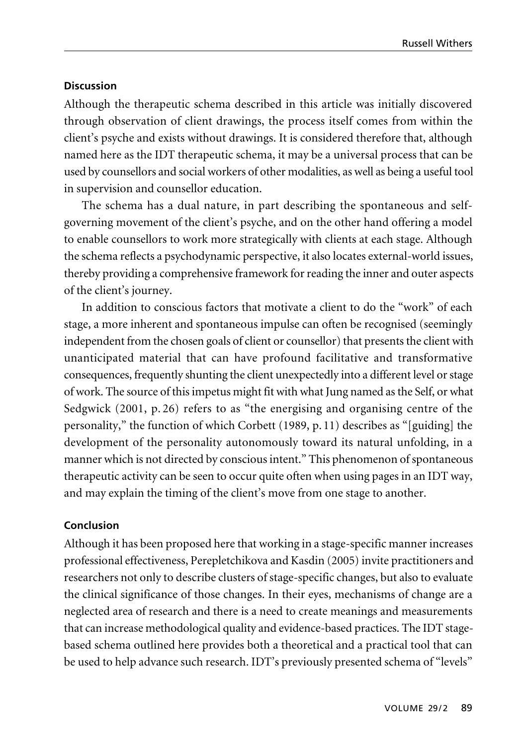### **Discussion**

Although the therapeutic schema described in this article was initially discovered through observation of client drawings, the process itself comes from within the client's psyche and exists without drawings. It is considered therefore that, although named here as the IDT therapeutic schema, it may be a universal process that can be used by counsellors and social workers of other modalities, as well as being a useful tool in supervision and counsellor education.

The schema has a dual nature, in part describing the spontaneous and selfgoverning movement of the client's psyche, and on the other hand offering a model to enable counsellors to work more strategically with clients at each stage. Although the schema reflects a psychodynamic perspective, it also locates external-world issues, thereby providing a comprehensive framework for reading the inner and outer aspects of the client's journey.

In addition to conscious factors that motivate a client to do the "work" of each stage, a more inherent and spontaneous impulse can often be recognised (seemingly independent from the chosen goals of client or counsellor) that presents the client with unanticipated material that can have profound facilitative and transformative consequences, frequently shunting the client unexpectedly into a different level or stage of work. The source of this impetus might fit with what Jung named as the Self, or what Sedgwick (2001, p. 26) refers to as "the energising and organising centre of the personality," the function of which Corbett (1989, p. 11) describes as "[guiding] the development of the personality autonomously toward its natural unfolding, in a manner which is not directed by conscious intent." This phenomenon of spontaneous therapeutic activity can be seen to occur quite often when using pages in an IDT way, and may explain the timing of the client's move from one stage to another.

### **Conclusion**

Although it has been proposed here that working in a stage-specific manner increases professional effectiveness, Perepletchikova and Kasdin (2005) invite practitioners and researchers not only to describe clusters of stage-specific changes, but also to evaluate the clinical significance of those changes. In their eyes, mechanisms of change are a neglected area of research and there is a need to create meanings and measurements that can increase methodological quality and evidence-based practices. The IDT stagebased schema outlined here provides both a theoretical and a practical tool that can be used to help advance such research. IDT's previously presented schema of "levels"